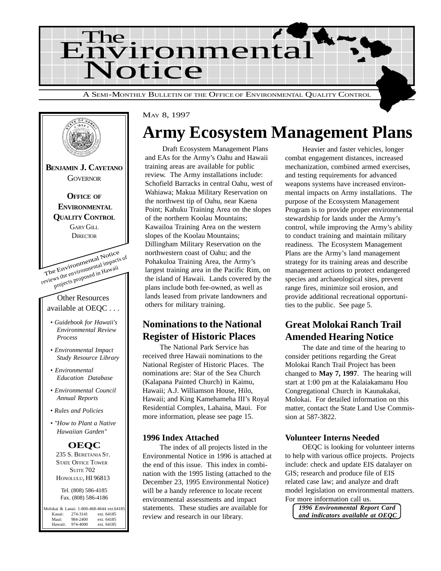



#### MAY 8, 1997

# **Army Ecosystem Management Plans**

Draft Ecosystem Management Plans and EAs for the Army's Oahu and Hawaii training areas are available for public review. The Army installations include: Schofield Barracks in central Oahu, west of Wahiawa; Makua Military Reservation on the northwest tip of Oahu, near Kaena Point; Kahuku Training Area on the slopes of the northern Koolau Mountains; Kawailoa Training Area on the western slopes of the Koolau Mountains; Dillingham Military Reservation on the northwestern coast of Oahu; and the Pohakuloa Training Area, the Army's largest training area in the Pacific Rim, on the island of Hawaii. Lands covered by the plans include both fee-owned, as well as lands leased from private landowners and others for military training.

#### **Nominations to the National Register of Historic Places**

The National Park Service has received three Hawaii nominations to the National Register of Historic Places. The nominations are: Star of the Sea Church (Kalapana Painted Church) in Kaimu, Hawaii; A.J. Williamson House, Hilo, Hawaii; and King Kamehameha III's Royal Residential Complex, Lahaina, Maui. For more information, please see page 15.

#### **1996 Index Attached**

The index of all projects listed in the Environmental Notice in 1996 is attached at the end of this issue. This index in combination with the 1995 listing (attached to the December 23, 1995 Environmental Notice) will be a handy reference to locate recent environmental assessments and impact statements. These studies are available for review and research in our library.

Heavier and faster vehicles, longer combat engagement distances, increased mechanization, combined armed exercises, and testing requirements for advanced weapons systems have increased environmental impacts on Army installations. The purpose of the Ecosystem Management Program is to provide proper environmental stewardship for lands under the Army's control, while improving the Army's ability to conduct training and maintain military readiness. The Ecosystem Management Plans are the Army's land management strategy for its training areas and describe management actions to protect endangered species and archaeological sites, prevent range fires, minimize soil erosion, and provide additional recreational opportunities to the public. See page 5.

#### **Great Molokai Ranch Trail Amended Hearing Notice**

The date and time of the hearing to consider petitions regarding the Great Molokai Ranch Trail Project has been changed to **May 7, 1997**. The hearing will start at 1:00 pm at the Kalaiakamanu Hou Congregational Church in Kaunakakai, Molokai. For detailed information on this matter, contact the State Land Use Commission at 587-3822.

#### **Volunteer Interns Needed**

OEQC is looking for volunteer interns to help with various office projects. Projects include: check and update EIS datalayer on GIS; research and produce file of EIS related case law; and analyze and draft model legislation on environmental matters. For more information call us.

*1996 Environmental Report Card and indicators available at OEQC*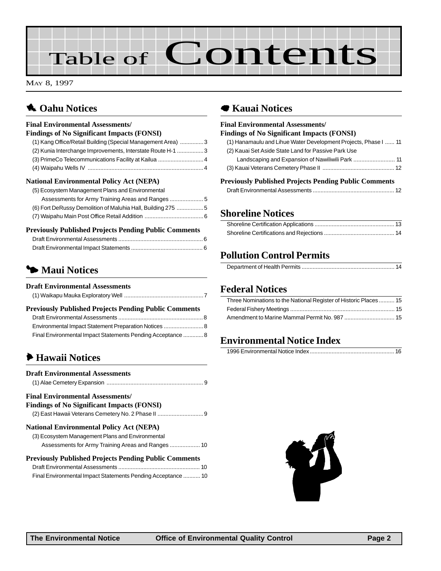# Table of Contents

MAY 8, 1997

### **1** Oahu Notices

#### **Final Environmental Assessments/ Findings of No Significant Impacts (FONSI)** [\(1\) Kang Office/Retail Building \(Special Management Area\) ...............3](#page-2-0) [\(2\) Kunia Interchange Improvements, Interstate Route H-1 .................3](#page-2-0) [\(3\) PrimeCo Telecommunications Facility at Kailua .............................4](#page-3-0) [\(4\) Waipahu Wells IV .........................................................................4](#page-3-0) **National Environmental Policy Act (NEPA)** [\(5\) Ecosystem Management Plans and Environmental](#page-4-0) Assessments for Army Training Areas and Ranges ..................... 5

| ASSESSMENTS for AIMITY Training Areas and Ranges            |  |
|-------------------------------------------------------------|--|
| (6) Fort DeRussy Demolition of Maluhia Hall, Building 275 5 |  |
|                                                             |  |

#### **Previously Published Projects Pending Public Comments**

#### 3 **Maui Notices**

#### **Draft Environmental Assessments** [\(1\) Waikapu Mauka Exploratory Well](#page-6-0)

| <b>Previously Published Projects Pending Public Comments</b> |  |
|--------------------------------------------------------------|--|
|                                                              |  |
|                                                              |  |
| Final Environmental Impact Statements Pending Acceptance  8  |  |

#### 6 **Hawaii Notices**

| <b>Draft Environmental Assessments</b>                       |
|--------------------------------------------------------------|
| <b>Final Environmental Assessments/</b>                      |
| <b>Findings of No Significant Impacts (FONSI)</b>            |
|                                                              |
| <b>National Environmental Policy Act (NEPA)</b>              |
| (3) Ecosystem Management Plans and Environmental             |
|                                                              |
| <b>Previously Published Projects Pending Public Comments</b> |
|                                                              |
| Final Environmental Impact Statements Pending Acceptance  10 |

#### 7 **Kauai Notices**

#### **Final Environmental Assessments/ Findings of No Significant Impacts (FONSI)**

| munics of the biginneant impacts (FOTWI)                        |  |
|-----------------------------------------------------------------|--|
| (1) Hanamaulu and Lihue Water Development Projects, Phase I  11 |  |
| (2) Kauai Set Aside State Land for Passive Park Use             |  |
|                                                                 |  |
|                                                                 |  |
|                                                                 |  |

#### **Previously Published Projects Pending Public Comments**

#### **[Shoreline Notices](#page-12-0)**

#### **Pollution Control Permits**

#### **Federal Notices**

| Three Nominations to the National Register of Historic Places 15 |  |
|------------------------------------------------------------------|--|
|                                                                  |  |
|                                                                  |  |

#### **Environmental Notice Index**

|--|

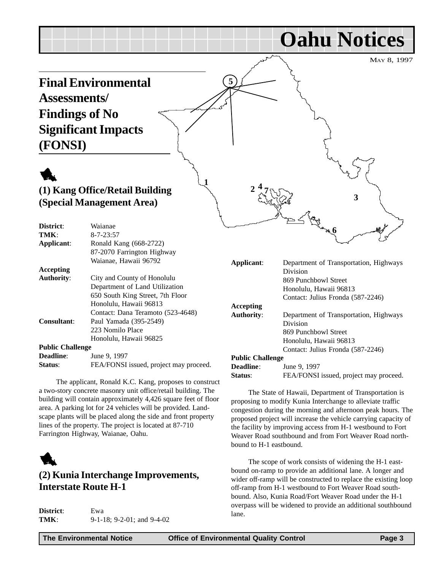<span id="page-2-0"></span>MAY 8, 1997 **Oahu Notices Final Environmental Assessments/ Findings of No Significant Impacts (FONSI)** 1 **(1) Kang Office/Retail Building (Special Management Area) District**: Waianae **5 1 2 3 4 6 7**

| TMK:                    | $8 - 7 - 23:57$                        |                         | שיי                                    |
|-------------------------|----------------------------------------|-------------------------|----------------------------------------|
| Applicant:              | Ronald Kang (668-2722)                 |                         |                                        |
|                         | 87-2070 Farrington Highway             |                         |                                        |
|                         | Waianae, Hawaii 96792                  | Applicant:              | Department of Transportation, Highways |
| Accepting               |                                        |                         | Division                               |
| <b>Authority:</b>       | City and County of Honolulu            |                         | 869 Punchbowl Street                   |
|                         | Department of Land Utilization         |                         | Honolulu, Hawaii 96813                 |
|                         | 650 South King Street, 7th Floor       |                         | Contact: Julius Fronda (587-2246)      |
|                         | Honolulu, Hawaii 96813                 | Accepting               |                                        |
|                         | Contact: Dana Teramoto (523-4648)      | <b>Authority:</b>       | Department of Transportation, Highways |
| <b>Consultant:</b>      | Paul Yamada (395-2549)                 |                         | Division                               |
|                         | 223 Nomilo Place                       |                         | 869 Punchbowl Street                   |
|                         | Honolulu, Hawaii 96825                 |                         | Honolulu, Hawaii 96813                 |
| <b>Public Challenge</b> |                                        |                         | Contact: Julius Fronda (587-2246)      |
| <b>Deadline:</b>        | June 9, 1997                           | <b>Public Challenge</b> |                                        |
| Status:                 | FEA/FONSI issued, project may proceed. | <b>Deadline:</b>        | June 9, 1997                           |
|                         |                                        | Status:                 | FEA/FONSI issued, project may proceed. |
|                         |                                        |                         |                                        |

The applicant, Ronald K.C. Kang, proposes to construct a two-story concrete masonry unit office/retail building. The building will contain approximately 4,426 square feet of floor area. A parking lot for 24 vehicles will be provided. Landscape plants will be placed along the side and front property lines of the property. The project is located at 87-710 Farrington Highway, Waianae, Oahu.



#### **(2) Kunia Interchange Improvements, Interstate Route H-1**

| District: | Ewa                                |
|-----------|------------------------------------|
| TMK:      | $9-1-18$ ; $9-2-01$ ; and $9-4-02$ |

The State of Hawaii, Department of Transportation is proposing to modify Kunia Interchange to alleviate traffic congestion during the morning and afternoon peak hours. The proposed project will increase the vehicle carrying capacity of the facility by improving access from H-1 westbound to Fort Weaver Road southbound and from Fort Weaver Road northbound to H-1 eastbound.

The scope of work consists of widening the H-1 eastbound on-ramp to provide an additional lane. A longer and wider off-ramp will be constructed to replace the existing loop off-ramp from H-1 westbound to Fort Weaver Road southbound. Also, Kunia Road/Fort Weaver Road under the H-1 overpass will be widened to provide an additional southbound lane.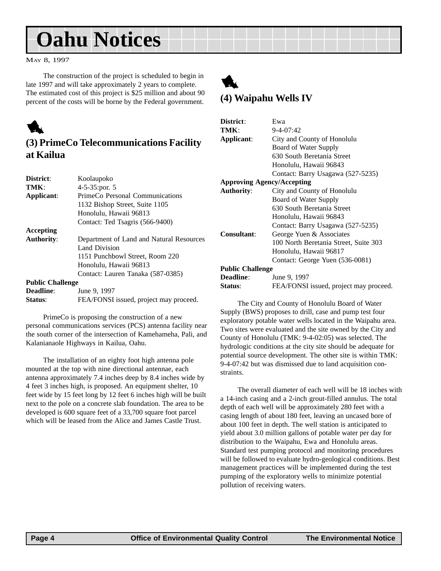# <span id="page-3-0"></span>**Oahu Notices**

MAY 8, 1997

The construction of the project is scheduled to begin in late 1997 and will take approximately 2 years to complete. The estimated cost of this project is \$25 million and about 90 percent of the costs will be borne by the Federal government.



#### **(3) PrimeCo Telecommunications Facility at Kailua**

| District:               | Koolaupoko                               |  |
|-------------------------|------------------------------------------|--|
| TMK                     | $4 - 5 - 35$ : por. 5                    |  |
| Applicant:              | PrimeCo Personal Communications          |  |
|                         | 1132 Bishop Street, Suite 1105           |  |
|                         | Honolulu, Hawaii 96813                   |  |
|                         | Contact: Ted Tsagris (566-9400)          |  |
| Accepting               |                                          |  |
| <b>Authority:</b>       | Department of Land and Natural Resources |  |
|                         | Land Division                            |  |
|                         | 1151 Punchbowl Street, Room 220          |  |
|                         | Honolulu, Hawaii 96813                   |  |
|                         | Contact: Lauren Tanaka (587-0385)        |  |
| <b>Public Challenge</b> |                                          |  |
| <b>Deadline:</b>        | June 9, 1997                             |  |
|                         |                                          |  |

**Status:** FEA/FONSI issued, project may proceed. PrimeCo is proposing the construction of a new

personal communications services (PCS) antenna facility near the south corner of the intersection of Kamehameha, Pali, and Kalanianaole Highways in Kailua, Oahu.

The installation of an eighty foot high antenna pole mounted at the top with nine directional antennae, each antenna approximately 7.4 inches deep by 8.4 inches wide by 4 feet 3 inches high, is proposed. An equipment shelter, 10 feet wide by 15 feet long by 12 feet 6 inches high will be built next to the pole on a concrete slab foundation. The area to be developed is 600 square feet of a 33,700 square foot parcel which will be leased from the Alice and James Castle Trust.



| District:                         | Ewa                                    |  |
|-----------------------------------|----------------------------------------|--|
| TMK:                              | $9 - 4 - 07:42$                        |  |
| Applicant:                        | City and County of Honolulu            |  |
|                                   | Board of Water Supply                  |  |
|                                   | 630 South Beretania Street             |  |
|                                   | Honolulu, Hawaii 96843                 |  |
|                                   | Contact: Barry Usagawa (527-5235)      |  |
| <b>Approving Agency/Accepting</b> |                                        |  |
| <b>Authority:</b>                 | City and County of Honolulu            |  |
|                                   | Board of Water Supply                  |  |
|                                   | 630 South Beretania Street             |  |
|                                   | Honolulu, Hawaii 96843                 |  |
|                                   | Contact: Barry Usagawa (527-5235)      |  |
| <b>Consultant:</b>                | George Yuen & Associates               |  |
|                                   | 100 North Beretania Street, Suite 303  |  |
|                                   | Honolulu, Hawaii 96817                 |  |
|                                   | Contact: George Yuen (536-0081)        |  |
| <b>Public Challenge</b>           |                                        |  |
| <b>Deadline:</b>                  | June 9, 1997                           |  |
| Status:                           | FEA/FONSI issued, project may proceed. |  |

The City and County of Honolulu Board of Water Supply (BWS) proposes to drill, case and pump test four exploratory potable water wells located in the Waipahu area. Two sites were evaluated and the site owned by the City and County of Honolulu (TMK: 9-4-02:05) was selected. The hydrologic conditions at the city site should be adequate for potential source development. The other site is within TMK: 9-4-07:42 but was dismissed due to land acquisition constraints.

The overall diameter of each well will be 18 inches with a 14-inch casing and a 2-inch grout-filled annulus. The total depth of each well will be approximately 280 feet with a casing length of about 180 feet, leaving an uncased bore of about 100 feet in depth. The well station is anticipated to yield about 3.0 million gallons of potable water per day for distribution to the Waipahu, Ewa and Honolulu areas. Standard test pumping protocol and monitoring procedures will be followed to evaluate hydro-geological conditions. Best management practices will be implemented during the test pumping of the exploratory wells to minimize potential pollution of receiving waters.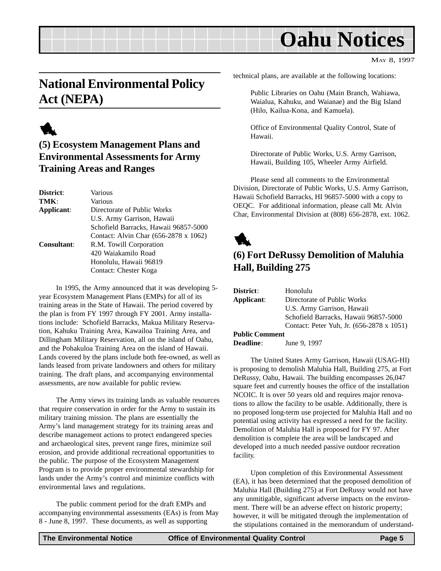# **Oahu Notices**

MAY 8, 1997

### <span id="page-4-0"></span>**National Environmental Policy Act (NEPA)**

# 1

#### **(5) Ecosystem Management Plans and Environmental Assessments for Army Training Areas and Ranges**

| District:          | Various                               |
|--------------------|---------------------------------------|
| TMK:               | Various                               |
| Applicant:         | Directorate of Public Works           |
|                    | U.S. Army Garrison, Hawaii            |
|                    | Schofield Barracks, Hawaii 96857-5000 |
|                    | Contact: Alvin Char (656-2878 x 1062) |
| <b>Consultant:</b> | R.M. Towill Corporation               |
|                    | 420 Waiakamilo Road                   |
|                    | Honolulu, Hawaii 96819                |
|                    | Contact: Chester Koga                 |

In 1995, the Army announced that it was developing 5 year Ecosystem Management Plans (EMPs) for all of its training areas in the State of Hawaii. The period covered by the plan is from FY 1997 through FY 2001. Army installations include: Schofield Barracks, Makua Military Reservation, Kahuku Training Area, Kawailoa Training Area, and Dillingham Military Reservation, all on the island of Oahu, and the Pohakuloa Training Area on the island of Hawaii. Lands covered by the plans include both fee-owned, as well as lands leased from private landowners and others for military training. The draft plans, and accompanying environmental assessments, are now available for public review.

The Army views its training lands as valuable resources that require conservation in order for the Army to sustain its military training mission. The plans are essentially the Army's land management strategy for its training areas and describe management actions to protect endangered species and archaeological sites, prevent range fires, minimize soil erosion, and provide additional recreational opportunities to the public. The purpose of the Ecosystem Management Program is to provide proper environmental stewardship for lands under the Army's control and minimize conflicts with environmental laws and regulations.

The public comment period for the draft EMPs and accompanying environmental assessments (EAs) is from May 8 - June 8, 1997. These documents, as well as supporting

technical plans, are available at the following locations:

Public Libraries on Oahu (Main Branch, Wahiawa, Waialua, Kahuku, and Waianae) and the Big Island (Hilo, Kailua-Kona, and Kamuela).

Office of Environmental Quality Control, State of Hawaii.

Directorate of Public Works, U.S. Army Garrison, Hawaii, Building 105, Wheeler Army Airfield.

Please send all comments to the Environmental Division, Directorate of Public Works, U.S. Army Garrison, Hawaii Schofield Barracks, HI 96857-5000 with a copy to OEQC. For additional information, please call Mr. Alvin Char, Environmental Division at (808) 656-2878, ext. 1062.



#### **(6) Fort DeRussy Demolition of Maluhia Hall, Building 275**

| District:             | Honolulu                                  |
|-----------------------|-------------------------------------------|
| Applicant:            | Directorate of Public Works               |
|                       | U.S. Army Garrison, Hawaii                |
|                       | Schofield Barracks, Hawaii 96857-5000     |
|                       | Contact: Peter Yuh, Jr. (656-2878 x 1051) |
| <b>Public Comment</b> |                                           |
|                       |                                           |

**Deadline**: June 9, 1997

The United States Army Garrison, Hawaii (USAG-HI) is proposing to demolish Maluhia Hall, Building 275, at Fort DeRussy, Oahu, Hawaii. The building encompasses 26,047 square feet and currently houses the office of the installation NCOIC. It is over 50 years old and requires major renovations to allow the facility to be usable. Additionally, there is no proposed long-term use projected for Maluhia Hall and no potential using activity has expressed a need for the facility. Demolition of Maluhia Hall is proposed for FY 97. After demolition is complete the area will be landscaped and developed into a much needed passive outdoor recreation facility.

Upon completion of this Environmental Assessment (EA), it has been determined that the proposed demolition of Maluhia Hall (Building 275) at Fort DeRussy would not have any unmitigable, significant adverse impacts on the environment. There will be an adverse effect on historic property; however, it will be mitigated through the implementation of the stipulations contained in the memorandum of understand-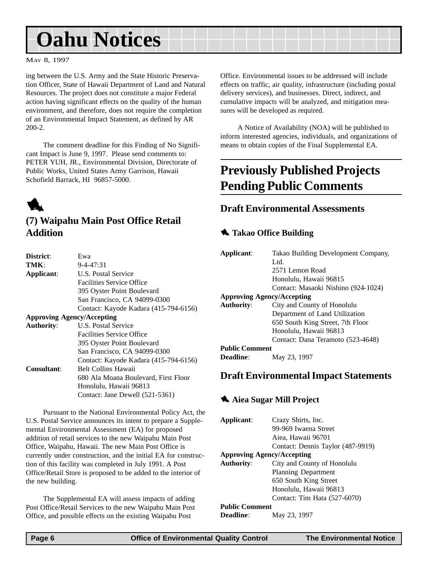# <span id="page-5-0"></span>**Oahu Notices**

#### MAY 8, 1997

ing between the U.S. Army and the State Historic Preservation Officer, State of Hawaii Department of Land and Natural Resources. The project does not constitute a major Federal action having significant effects on the quality of the human environment, and therefore, does not require the completion of an Environmental Impact Statement, as defined by AR 200-2.

The comment deadline for this Finding of No Significant Impact is June 9, 1997. Please send comments to: PETER YUH, JR., Environmental Division, Directorate of Public Works, United States Army Garrison, Hawaii Schofield Barrack, HI 96857-5000.



#### **(7) Waipahu Main Post Office Retail Addition**

| District:                         | Ewa                                   |  |
|-----------------------------------|---------------------------------------|--|
| TMK:                              | $9 - 4 - 47:31$                       |  |
| Applicant:                        | U.S. Postal Service                   |  |
|                                   | <b>Facilities Service Office</b>      |  |
|                                   | 395 Oyster Point Boulevard            |  |
|                                   | San Francisco, CA 94099-0300          |  |
|                                   | Contact: Kayode Kadara (415-794-6156) |  |
| <b>Approving Agency/Accepting</b> |                                       |  |
| <b>Authority:</b>                 | U.S. Postal Service                   |  |
|                                   | <b>Facilities Service Office</b>      |  |
|                                   | 395 Oyster Point Boulevard            |  |
|                                   | San Francisco, CA 94099-0300          |  |
|                                   | Contact: Kayode Kadara (415-794-6156) |  |
| <b>Consultant:</b>                | <b>Belt Collins Hawaii</b>            |  |
|                                   | 680 Ala Moana Boulevard, First Floor  |  |
|                                   | Honolulu, Hawaii 96813                |  |
|                                   | Contact: Jane Dewell (521-5361)       |  |
|                                   |                                       |  |

Pursuant to the National Environmental Policy Act, the U.S. Postal Service announces its intent to prepare a Supplemental Environmental Assessment (EA) for proposed addition of retail services to the new Waipahu Main Post Office, Waipahu, Hawaii. The new Main Post Office is currently under construction, and the initial EA for construction of this facility was completed in July 1991. A Post Office/Retail Store is proposed to be added to the interior of the new building.

The Supplemental EA will assess impacts of adding Post Office/Retail Services to the new Waipahu Main Post Office, and possible effects on the existing Waipahu Post

Office. Environmental issues to be addressed will include effects on traffic, air quality, infrastructure (including postal delivery services), and businesses. Direct, indirect, and cumulative impacts will be analyzed, and mitigation measures will be developed as required.

A Notice of Availability (NOA) will be published to inform interested agencies, individuals, and organizations of means to obtain copies of the Final Supplemental EA.

### **Previously Published Projects Pending Public Comments**

#### **Draft Environmental Assessments**

#### **1** Takao Office Building

| Applicant:                        | Takao Building Development Company, |  |
|-----------------------------------|-------------------------------------|--|
|                                   | Ltd.                                |  |
|                                   | 2571 Lemon Road                     |  |
|                                   | Honolulu, Hawaii 96815              |  |
|                                   | Contact: Masaoki Nishino (924-1024) |  |
| <b>Approving Agency/Accepting</b> |                                     |  |
| <b>Authority:</b>                 | City and County of Honolulu         |  |
|                                   | Department of Land Utilization      |  |
|                                   | 650 South King Street, 7th Floor    |  |
|                                   | Honolulu, Hawaii 96813              |  |
|                                   | Contact: Dana Teramoto (523-4648)   |  |
| <b>Public Comment</b>             |                                     |  |
| Deadline:                         | May 23, 1997                        |  |
|                                   |                                     |  |

#### **Draft Environmental Impact Statements**

#### **1** Aiea Sugar Mill Project

**Applicant**: Crazy Shirts, Inc. 99-969 Iwaena Street Aiea, Hawaii 96701 Contact: Dennis Taylor (487-9919) **Approving Agency/Accepting Authority**: City and County of Honolulu Planning Department 650 South King Street Honolulu, Hawaii 96813 Contact: Tim Hata (527-6070) **Public Comment Deadline**: May 23, 1997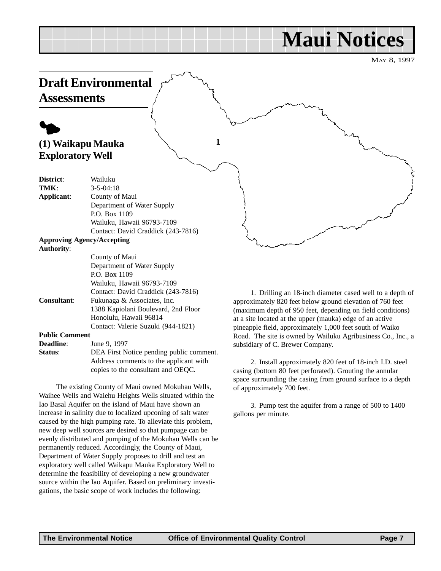# **Maui Notices**

MAY 8, 1997

<span id="page-6-0"></span>

Contact: Valerie Suzuki (944-1821) **Public Comment Deadline:** June 9, 1997 **Status**: DEA First Notice pending public comment. Address comments to the applicant with

copies to the consultant and OEQC.

The existing County of Maui owned Mokuhau Wells, Waihee Wells and Waiehu Heights Wells situated within the Iao Basal Aquifer on the island of Maui have shown an increase in salinity due to localized upconing of salt water caused by the high pumping rate. To alleviate this problem, new deep well sources are desired so that pumpage can be evenly distributed and pumping of the Mokuhau Wells can be permanently reduced. Accordingly, the County of Maui, Department of Water Supply proposes to drill and test an exploratory well called Waikapu Mauka Exploratory Well to determine the feasibility of developing a new groundwater source within the Iao Aquifer. Based on preliminary investigations, the basic scope of work includes the following:

at a site located at the upper (mauka) edge of an active pineapple field, approximately 1,000 feet south of Waiko Road. The site is owned by Wailuku Agribusiness Co., Inc., a subsidiary of C. Brewer Company.

2. Install approximately 820 feet of 18-inch I.D. steel casing (bottom 80 feet perforated). Grouting the annular space surrounding the casing from ground surface to a depth of approximately 700 feet.

3. Pump test the aquifer from a range of 500 to 1400 gallons per minute.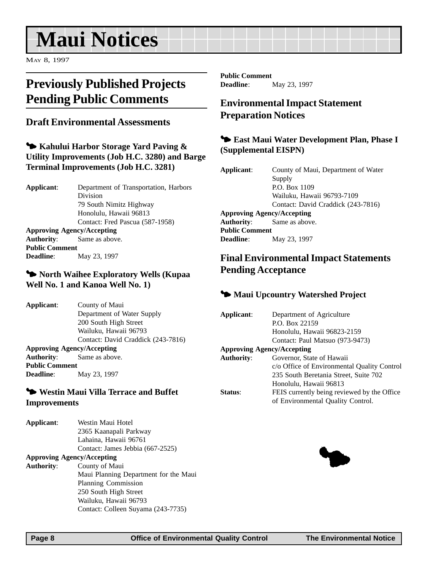# <span id="page-7-0"></span>**Maui Notices**

MAY 8, 1997

### **Previously Published Projects Pending Public Comments**

#### **Draft Environmental Assessments**

3 **Kahului Harbor Storage Yard Paving & Utility Improvements (Job H.C. 3280) and Barge Terminal Improvements (Job H.C. 3281)**

**Applicant**: Department of Transportation, Harbors Division 79 South Nimitz Highway Honolulu, Hawaii 96813 Contact: Fred Pascua (587-1958) **Approving Agency/Accepting Authority**: Same as above. **Public Comment Deadline**: May 23, 1997

#### 3 **North Waihee Exploratory Wells (Kupaa Well No. 1 and Kanoa Well No. 1)**

**Applicant**: County of Maui Department of Water Supply 200 South High Street Wailuku, Hawaii 96793 Contact: David Craddick (243-7816) **Approving Agency/Accepting Authority**: Same as above. **Public Comment Deadline**: May 23, 1997

#### 3 **Westin Maui Villa Terrace and Buffet Improvements**

| Applicant:        | Westin Maui Hotel                     |
|-------------------|---------------------------------------|
|                   | 2365 Kaanapali Parkway                |
|                   | Lahaina, Hawaii 96761                 |
|                   | Contact: James Jebbia (667-2525)      |
|                   | <b>Approving Agency/Accepting</b>     |
| <b>Authority:</b> | County of Maui                        |
|                   | Maui Planning Department for the Maui |
|                   | Planning Commission                   |
|                   | 250 South High Street                 |
|                   | Wailuku, Hawaii 96793                 |
|                   | Contact: Colleen Suyama (243-7735)    |

**Public Comment Deadline**: May 23, 1997

#### **Environmental Impact Statement Preparation Notices**

#### 3 **East Maui Water Development Plan, Phase I (Supplemental EISPN)**

**Applicant**: County of Maui, Department of Water Supply P.O. Box 1109 Wailuku, Hawaii 96793-7109 Contact: David Craddick (243-7816) **Approving Agency/Accepting Authority**: Same as above. **Public Comment Deadline**: May 23, 1997

#### **Final Environmental Impact Statements Pending Acceptance**

#### $\blacktriangleright$  **Maui Upcountry Watershed Project**

| Applicant:                        | Department of Agriculture                   |
|-----------------------------------|---------------------------------------------|
|                                   | P.O. Box 22159                              |
|                                   | Honolulu, Hawaii 96823-2159                 |
|                                   | Contact: Paul Matsuo (973-9473)             |
| <b>Approving Agency/Accepting</b> |                                             |
| <b>Authority:</b>                 | Governor, State of Hawaii                   |
|                                   | c/o Office of Environmental Quality Control |
|                                   | 235 South Beretania Street, Suite 702       |
|                                   | Honolulu, Hawaii 96813                      |
| Status:                           | FEIS currently being reviewed by the Office |
|                                   | of Environmental Quality Control.           |
|                                   |                                             |

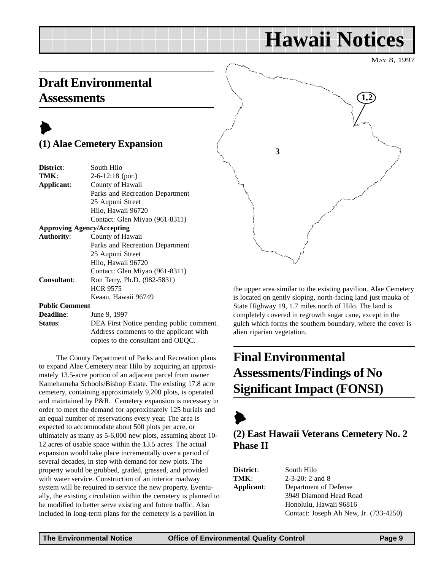# **Hawaii Notices**

MAY 8, 1997

### <span id="page-8-0"></span>**Draft Environmental Assessments**

### $\blacktriangleright$ **(1) Alae Cemetery Expansion**

| District:                         | South Hilo                               |
|-----------------------------------|------------------------------------------|
| TMK:                              | $2-6-12:18$ (por.)                       |
| Applicant:                        | County of Hawaii                         |
|                                   | Parks and Recreation Department          |
|                                   | 25 Aupuni Street                         |
|                                   | Hilo, Hawaii 96720                       |
|                                   | Contact: Glen Miyao (961-8311)           |
| <b>Approving Agency/Accepting</b> |                                          |
| <b>Authority:</b>                 | County of Hawaii                         |
|                                   | Parks and Recreation Department          |
|                                   | 25 Aupuni Street                         |
|                                   | Hilo, Hawaii 96720                       |
|                                   | Contact: Glen Miyao (961-8311)           |
| <b>Consultant:</b>                | Ron Terry, Ph.D. (982-5831)              |
|                                   | <b>HCR 9575</b>                          |
|                                   | Keaau, Hawaii 96749                      |
| <b>Public Comment</b>             |                                          |
| <b>Deadline:</b>                  | June 9, 1997                             |
| Status:                           | DEA First Notice pending public comment. |
|                                   |                                          |

Address comments to the applicant with copies to the consultant and OEQC.

The County Department of Parks and Recreation plans to expand Alae Cemetery near Hilo by acquiring an approximately 13.5-acre portion of an adjacent parcel from owner Kamehameha Schools/Bishop Estate. The existing 17.8 acre cemetery, containing approximately 9,200 plots, is operated and maintained by P&R. Cemetery expansion is necessary in order to meet the demand for approximately 125 burials and an equal number of reservations every year. The area is expected to accommodate about 500 plots per acre, or ultimately as many as 5-6,000 new plots, assuming about 10- 12 acres of usable space within the 13.5 acres. The actual expansion would take place incrementally over a period of several decades, in step with demand for new plots. The property would be grubbed, graded, grassed, and provided with water service. Construction of an interior roadway system will be required to service the new property. Eventually, the existing circulation within the cemetery is planned to be modified to better serve existing and future traffic. Also included in long-term plans for the cemetery is a pavilion in



the upper area similar to the existing pavilion. Alae Cemetery is located on gently sloping, north-facing land just mauka of State Highway 19, 1.7 miles north of Hilo. The land is completely covered in regrowth sugar cane, except in the gulch which forms the southern boundary, where the cover is alien riparian vegetation.

# **Final Environmental Assessments/Findings of No Significant Impact (FONSI)**

### $\blacktriangleright$ **(2) East Hawaii Veterans Cemetery No. 2 Phase II**

| <b>District</b> : | South Hilo                             |
|-------------------|----------------------------------------|
| TMK:              | $2-3-20$ : 2 and 8                     |
| Applicant:        | Department of Defense                  |
|                   | 3949 Diamond Head Road                 |
|                   | Honolulu, Hawaii 96816                 |
|                   | Contact: Joseph Ah New, Jr. (733-4250) |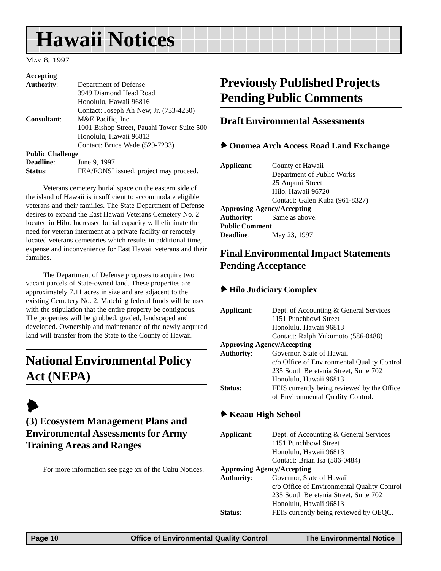# <span id="page-9-0"></span>**Hawaii Notices**

MAY 8, 1997

| Accepting               |                                            |
|-------------------------|--------------------------------------------|
| <b>Authority:</b>       | Department of Defense                      |
|                         | 3949 Diamond Head Road                     |
|                         | Honolulu, Hawaii 96816                     |
|                         | Contact: Joseph Ah New, Jr. (733-4250)     |
| <b>Consultant:</b>      | M&E Pacific, Inc.                          |
|                         | 1001 Bishop Street, Pauahi Tower Suite 500 |
|                         | Honolulu, Hawaii 96813                     |
|                         | Contact: Bruce Wade (529-7233)             |
| <b>Public Challenge</b> |                                            |
| <b>Deadline:</b>        | June 9, 1997                               |
| Status:                 | FEA/FONSI issued, project may proceed.     |

Veterans cemetery burial space on the eastern side of the island of Hawaii is insufficient to accommodate eligible veterans and their families. The State Department of Defense desires to expand the East Hawaii Veterans Cemetery No. 2 located in Hilo. Increased burial capacity will eliminate the need for veteran interment at a private facility or remotely located veterans cemeteries which results in additional time, expense and inconvenience for East Hawaii veterans and their families.

The Department of Defense proposes to acquire two vacant parcels of State-owned land. These properties are approximately 7.11 acres in size and are adjacent to the existing Cemetery No. 2. Matching federal funds will be used with the stipulation that the entire property be contiguous. The properties will be grubbed, graded, landscaped and developed. Ownership and maintenance of the newly acquired land will transfer from the State to the County of Hawaii.

### **National Environmental Policy Act (NEPA)**

### $\blacktriangleright$ **(3) Ecosystem Management Plans and Environmental Assessments for Army Training Areas and Ranges**

For more information see page xx of the Oahu Notices.

### **Previously Published Projects Pending Public Comments**

#### **Draft Environmental Assessments**

#### 6 **Onomea Arch Access Road Land Exchange**

| Applicant:                        | County of Hawaii               |  |
|-----------------------------------|--------------------------------|--|
|                                   | Department of Public Works     |  |
|                                   | 25 Aupuni Street               |  |
|                                   | Hilo, Hawaii 96720             |  |
|                                   | Contact: Galen Kuba (961-8327) |  |
| <b>Approving Agency/Accepting</b> |                                |  |
| <b>Authority:</b> Same as above.  |                                |  |
| <b>Public Comment</b>             |                                |  |
| <b>Deadline:</b>                  | May 23, 1997                   |  |
|                                   |                                |  |

#### **Final Environmental Impact Statements Pending Acceptance**

#### 6 **Hilo Judiciary Complex**

| Applicant:          | Dept. of Accounting & General Services      |  |  |  |
|---------------------|---------------------------------------------|--|--|--|
|                     | 1151 Punchbowl Street                       |  |  |  |
|                     | Honolulu, Hawaii 96813                      |  |  |  |
|                     | Contact: Ralph Yukumoto (586-0488)          |  |  |  |
|                     | <b>Approving Agency/Accepting</b>           |  |  |  |
| <b>Authority:</b>   | Governor, State of Hawaii                   |  |  |  |
|                     | c/o Office of Environmental Quality Control |  |  |  |
|                     | 235 South Beretania Street, Suite 702       |  |  |  |
|                     | Honolulu, Hawaii 96813                      |  |  |  |
| Status:             | FEIS currently being reviewed by the Office |  |  |  |
|                     | of Environmental Quality Control.           |  |  |  |
|                     |                                             |  |  |  |
| ◆ Keaau High School |                                             |  |  |  |
|                     |                                             |  |  |  |
| Applicant:          | Dept. of Accounting & General Services      |  |  |  |
|                     | 1151 Punchbowl Street                       |  |  |  |
|                     | Honolulu, Hawaii 96813                      |  |  |  |
|                     | Contact: Brian Isa (586-0484)               |  |  |  |
|                     | <b>Approving Agency/Accepting</b>           |  |  |  |
| <b>Authority:</b>   | Governor, State of Hawaii                   |  |  |  |
|                     | c/o Office of Environmental Quality Control |  |  |  |
|                     | 235 South Beretania Street, Suite 702       |  |  |  |
|                     | Honolulu, Hawaii 96813                      |  |  |  |
| <b>Status:</b>      | FEIS currently being reviewed by OEQC.      |  |  |  |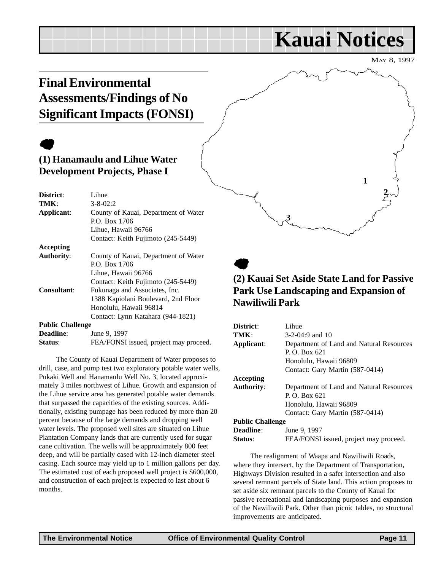## <span id="page-10-0"></span>**Final Environmental Assessments/Findings of No Significant Impacts (FONSI)**

# $\bullet$

#### **(1) Hanamaulu and Lihue Water Development Projects, Phase I**

| District:               | Lihue                                  |  |  |
|-------------------------|----------------------------------------|--|--|
| TMK:                    | $3 - 8 - 02:2$                         |  |  |
| Applicant:              | County of Kauai, Department of Water   |  |  |
|                         | P.O. Box 1706                          |  |  |
|                         | Lihue, Hawaii 96766                    |  |  |
|                         | Contact: Keith Fujimoto (245-5449)     |  |  |
| <b>Accepting</b>        |                                        |  |  |
| <b>Authority:</b>       | County of Kauai, Department of Water   |  |  |
|                         | P.O. Box 1706                          |  |  |
|                         | Lihue, Hawaii 96766                    |  |  |
|                         | Contact: Keith Fujimoto (245-5449)     |  |  |
| Consultant:             | Fukunaga and Associates, Inc.          |  |  |
|                         | 1388 Kapiolani Boulevard, 2nd Floor    |  |  |
|                         | Honolulu, Hawaii 96814                 |  |  |
|                         | Contact: Lynn Katahara (944-1821)      |  |  |
| <b>Public Challenge</b> |                                        |  |  |
| <b>Deadline:</b>        | June 9, 1997                           |  |  |
| Status:                 | FEA/FONSI issued, project may proceed. |  |  |

The County of Kauai Department of Water proposes to drill, case, and pump test two exploratory potable water wells, Pukaki Well and Hanamaulu Well No. 3, located approximately 3 miles northwest of Lihue. Growth and expansion of the Lihue service area has generated potable water demands that surpassed the capacities of the existing sources. Additionally, existing pumpage has been reduced by more than 20 percent because of the large demands and dropping well water levels. The proposed well sites are situated on Lihue Plantation Company lands that are currently used for sugar cane cultivation. The wells will be approximately 800 feet deep, and will be partially cased with 12-inch diameter steel casing. Each source may yield up to 1 million gallons per day. The estimated cost of each proposed well project is \$600,000, and construction of each project is expected to last about 6 months.

### $\bullet$ **(2) Kauai Set Aside State Land for Passive Park Use Landscaping and Expansion of Nawiliwili Park**

**3**

| District:               | Lihue                                    |  |  |
|-------------------------|------------------------------------------|--|--|
| TMK:                    | $3-2-04:9$ and 10                        |  |  |
| Applicant:              | Department of Land and Natural Resources |  |  |
|                         | P. O. Box $621$                          |  |  |
|                         | Honolulu, Hawaii 96809                   |  |  |
|                         | Contact: Gary Martin (587-0414)          |  |  |
| Accepting               |                                          |  |  |
| <b>Authority:</b>       | Department of Land and Natural Resources |  |  |
|                         | P. O. Box $621$                          |  |  |
|                         | Honolulu, Hawaii 96809                   |  |  |
|                         | Contact: Gary Martin (587-0414)          |  |  |
| <b>Public Challenge</b> |                                          |  |  |
| <b>Deadline:</b>        | June 9, 1997                             |  |  |
| Status:                 | FEA/FONSI issued, project may proceed.   |  |  |

The realignment of Waapa and Nawiliwili Roads, where they intersect, by the Department of Transportation, Highways Division resulted in a safer intersection and also several remnant parcels of State land. This action proposes to set aside six remnant parcels to the County of Kauai for passive recreational and landscaping purposes and expansion of the Nawiliwili Park. Other than picnic tables, no structural improvements are anticipated.

MAY 8, 1997

**2**

**1**

**Kauai Notices**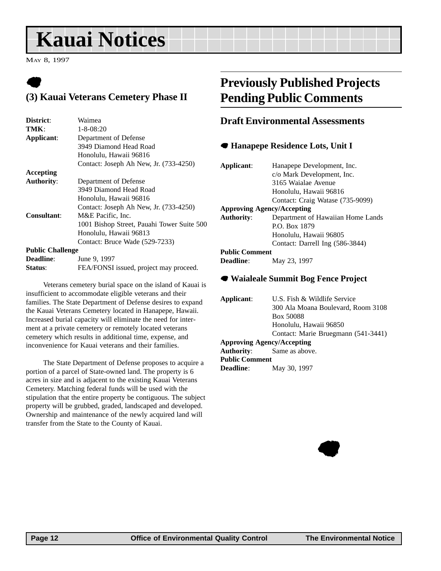# <span id="page-11-0"></span>**Kauai Notices**

MAY 8, 1997

### $\bullet$ **(3) Kauai Veterans Cemetery Phase II**

| District:               | Waimea                                     |  |  |
|-------------------------|--------------------------------------------|--|--|
| TMK:                    | $1 - 8 - 08:20$                            |  |  |
| Applicant:              | Department of Defense                      |  |  |
|                         | 3949 Diamond Head Road                     |  |  |
|                         | Honolulu, Hawaii 96816                     |  |  |
|                         | Contact: Joseph Ah New, Jr. (733-4250)     |  |  |
| Accepting               |                                            |  |  |
| <b>Authority:</b>       | Department of Defense                      |  |  |
|                         | 3949 Diamond Head Road                     |  |  |
|                         | Honolulu, Hawaii 96816                     |  |  |
|                         | Contact: Joseph Ah New, Jr. (733-4250)     |  |  |
| <b>Consultant:</b>      | M&E Pacific, Inc.                          |  |  |
|                         | 1001 Bishop Street, Pauahi Tower Suite 500 |  |  |
|                         | Honolulu, Hawaii 96813                     |  |  |
|                         | Contact: Bruce Wade (529-7233)             |  |  |
| <b>Public Challenge</b> |                                            |  |  |
| <b>Deadline:</b>        | June 9, 1997                               |  |  |
| Status:                 | FEA/FONSI issued, project may proceed.     |  |  |

Veterans cemetery burial space on the island of Kauai is insufficient to accommodate eligible veterans and their families. The State Department of Defense desires to expand the Kauai Veterans Cemetery located in Hanapepe, Hawaii. Increased burial capacity will eliminate the need for interment at a private cemetery or remotely located veterans cemetery which results in additional time, expense, and inconvenience for Kauai veterans and their families.

The State Department of Defense proposes to acquire a portion of a parcel of State-owned land. The property is 6 acres in size and is adjacent to the existing Kauai Veterans Cemetery. Matching federal funds will be used with the stipulation that the entire property be contiguous. The subject property will be grubbed, graded, landscaped and developed. Ownership and maintenance of the newly acquired land will transfer from the State to the County of Kauai.

### **Previously Published Projects Pending Public Comments**

#### **Draft Environmental Assessments**

#### 7 **Hanapepe Residence Lots, Unit I**

| Applicant:                        | Hanapepe Development, Inc.<br>c/o Mark Development, Inc.<br>3165 Waialae Avenue |  |  |  |
|-----------------------------------|---------------------------------------------------------------------------------|--|--|--|
|                                   | Honolulu, Hawaii 96816                                                          |  |  |  |
|                                   | Contact: Craig Watase (735-9099)                                                |  |  |  |
| <b>Approving Agency/Accepting</b> |                                                                                 |  |  |  |
| <b>Authority:</b>                 | Department of Hawaiian Home Lands                                               |  |  |  |
|                                   | P.O. Box 1879                                                                   |  |  |  |
|                                   | Honolulu, Hawaii 96805                                                          |  |  |  |
|                                   | Contact: Darrell Ing (586-3844)                                                 |  |  |  |
| <b>Public Comment</b>             |                                                                                 |  |  |  |
| <b>Deadline:</b>                  | May 23, 1997                                                                    |  |  |  |

#### 7 **Waialeale Summit Bog Fence Project**

| Applicant:                        | U.S. Fish & Wildlife Service        |  |  |
|-----------------------------------|-------------------------------------|--|--|
|                                   | 300 Ala Moana Boulevard, Room 3108  |  |  |
|                                   | Box 50088                           |  |  |
|                                   | Honolulu, Hawaii 96850              |  |  |
|                                   | Contact: Marie Bruegmann (541-3441) |  |  |
| <b>Approving Agency/Accepting</b> |                                     |  |  |
| <b>Authority:</b> Same as above.  |                                     |  |  |
| <b>Public Comment</b>             |                                     |  |  |
| <b>Deadline:</b>                  | May 30, 1997                        |  |  |

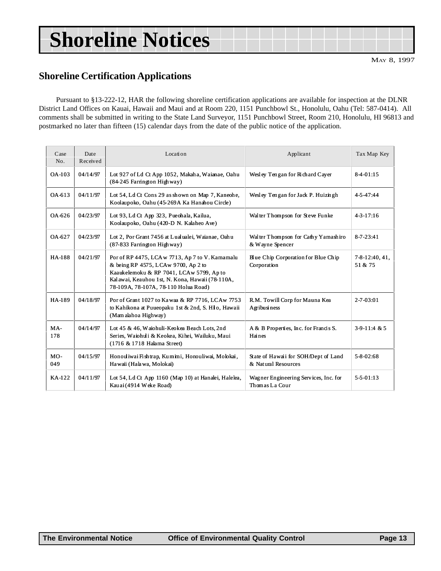# <span id="page-12-0"></span>**Shoreline Notices**

#### **Shoreline Certification Applications**

Pursuant to §13-222-12, HAR the following shoreline certification applications are available for inspection at the DLNR District Land Offices on Kauai, Hawaii and Maui and at Room 220, 1151 Punchbowl St., Honolulu, Oahu (Tel: 587-0414). All comments shall be submitted in writing to the State Land Surveyor, 1151 Punchbowl Street, Room 210, Honolulu, HI 96813 and postmarked no later than fifteen (15) calendar days from the date of the public notice of the application.

| Case<br>No.   | Date<br>Received | Location                                                                                                                                                                                                                                                                            | Applicant                                                   | Tax Map Key                       |
|---------------|------------------|-------------------------------------------------------------------------------------------------------------------------------------------------------------------------------------------------------------------------------------------------------------------------------------|-------------------------------------------------------------|-----------------------------------|
| $OA-103$      | 04/14/97         | Lot 927 of Ld Ct App 1052, Makaha, Waianae, Oahu<br>(84-245 Farrington Highway)                                                                                                                                                                                                     | Wesley Tengan for Richard Cayer                             |                                   |
| OA-613        | 04/11/97         | Lot 54, Ld Ct Cons 29 as shown on Map 7, Kaneohe,<br>Koolaupoko, Oahu (45-269A Ka Hanahou Circle)                                                                                                                                                                                   | Wesley Tengan for Jack P. Huizingh                          | 4-5-47:44                         |
| OA-626        | 04/23/97         | Lot 93, Ld Ct App 323, Pueohala, Kailua,<br>Walter Thompson for Steve Funke<br>Koolaupoko, Oahu (420-D N. Kalaheo Ave)                                                                                                                                                              |                                                             | $4 - 3 - 17:16$                   |
| OA-627        | 04/23/97         | Lot 2, Por Grant 7456 at Lualualei, Waianae, Oahu<br>Walter Thompson for Cathy Yamashiro<br>(87-833 Farrington Highway)<br>& Wayne Spencer                                                                                                                                          |                                                             | $8 - 7 - 23:41$                   |
| <b>HA-188</b> | 04/21/97         | Por of RP 4475, LCA w 7713, Ap 7 to V. Kamamalu<br>Blue Chip Corporation for Blue Chip<br>& being RP 4575, LCAw 9700, Ap 2 to<br>Corporation<br>Kaaukelemoku & RP 7041, LCAw 5799, Ap to<br>Kalawai, Keauhou 1st, N. Kona, Hawaii (78-110A,<br>78-109A, 78-107A, 78-110 Holua Road) |                                                             | $7 - 8 - 12$ : 40, 41,<br>51 & 75 |
| HA-189        | 04/18/97         | Por of Grant 1027 to Kawaa & RP 7716, LCAw 7753<br>to Kahikona at Puueopaku 1st & 2nd, S. Hilo, Hawaii<br>(Mam alahoa Highway)                                                                                                                                                      | R.M. Towill Corp for Mauna Kea<br>Agribusiness              | $2 - 7 - 03:01$                   |
| $MA-$<br>178  | 04/14/97         | Lot 45 & 46, Waiohuli-Keokea Beach Lots, 2nd<br>A & B Properties, Inc. for Francis S.<br>Series, Waiohuli & Keokea, Kihei, Wailuku, Maui<br>Haines<br>(1716 & 1718 Halama Street)                                                                                                   |                                                             | $3-9-11:4 & 5$                    |
| MO-<br>049    | 04/15/97         | Honouliwai Fishtrap, Kumini, Honouliwai, Molokai,<br>Hawaii (Halawa, Molokai)                                                                                                                                                                                                       | State of Hawaii for SOH/Dept of Land<br>& Natural Resources | $5 - 8 - 02:68$                   |
| KA-122        | 04/11/97         | Lot 54, Ld Ct App 1160 (Map 10) at Hanalei, Halelea,<br>Kau ai (4914 Weke Road)                                                                                                                                                                                                     | Wagner Engineering Services, Inc. for<br>Thomas La Cour     | $5 - 5 - 01 : 13$                 |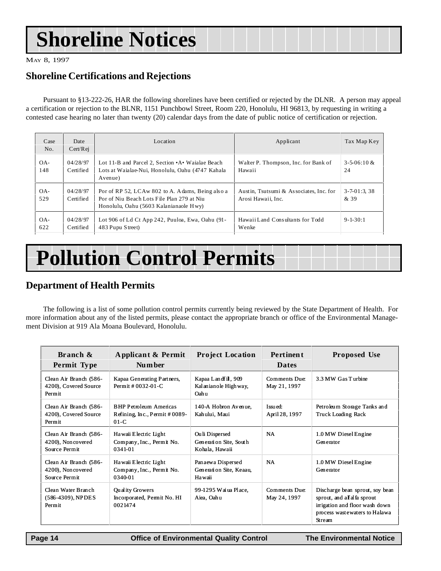# <span id="page-13-0"></span>**Shoreline Notices**

MAY 8, 1997

#### **Shoreline Certifications and Rejections**

Pursuant to §13-222-26, HAR the following shorelines have been certified or rejected by the DLNR. A person may appeal a certification or rejection to the BLNR, 1151 Punchbowl Street, Room 220, Honolulu, HI 96813, by requesting in writing a contested case hearing no later than twenty (20) calendar days from the date of public notice of certification or rejection.

|                                                                 | Branch &              | Applicant & Permit                                                                                                                                                                                                                                                                                       | <b>Project Location</b>  | <b>Pertinent</b>                 | <b>Proposed Use</b>       |
|-----------------------------------------------------------------|-----------------------|----------------------------------------------------------------------------------------------------------------------------------------------------------------------------------------------------------------------------------------------------------------------------------------------------------|--------------------------|----------------------------------|---------------------------|
|                                                                 |                       | The following is a list of some pollution control permits currently being reviewed by the State Department of Health.<br>ore information about any of the listed permits, please contact the appropriate branch or office of the Environmental Mar<br>ent Division at 919 Ala Moana Boulevard, Honolulu. |                          |                                  |                           |
| <b>Pollution Control Permits</b><br>epartment of Health Permits |                       |                                                                                                                                                                                                                                                                                                          |                          |                                  |                           |
| OA-<br>622                                                      | 04/28/97<br>Certified | Lot 906 of Ld Ct App 242, Puuloa, Ewa, Oahu (91-<br>483 Pupu Street)                                                                                                                                                                                                                                     | Wenke                    | Hawaii Land Consultants for Todd | $9 - 1 - 30:1$            |
| OA-<br>529                                                      | 04/28/97<br>Certified | Por of RP 52, LCAw 802 to A. Adams, Being also a<br>Austin, Tsutsumi & Associates, Inc. for<br>Por of Niu Beach Lots File Plan 279 at Niu<br>Arosi Hawaii, Inc.<br>Honolulu, Oahu (5603 Kalanianaole Hwy)                                                                                                |                          |                                  | $3 - 7 - 01:3,38$<br>& 39 |
| OA-<br>148                                                      | 04/28/97<br>Certified | Lot 11-B and Parcel 2, Section • A • Waialae Beach<br>Lots at Waialae-Nui, Honolulu, Oahu (4747 Kahala<br>Avenue)                                                                                                                                                                                        | $3 - 5 - 06:10 \&$<br>24 |                                  |                           |
| Case<br>No.                                                     | Date<br>Cert/Rej      | Location                                                                                                                                                                                                                                                                                                 | Tax Map Key              |                                  |                           |

# **Pollution Control Permits**

#### **Department of Health Permits**

The following is a list of some pollution control permits currently being reviewed by the State Department of Health. For more information about any of the listed permits, please contact the appropriate branch or office of the Environmental Management Division at 919 Ala Moana Boulevard, Honolulu.

| Branch &<br>Permit Type                                      | Applicant & Permit<br>Number                                             | <b>Project Location</b>                                    | <b>Pertinent</b><br><b>Dates</b> | <b>Proposed Use</b>                                                                                                                         |
|--------------------------------------------------------------|--------------------------------------------------------------------------|------------------------------------------------------------|----------------------------------|---------------------------------------------------------------------------------------------------------------------------------------------|
| Clean Air Branch (586-<br>4200), Covered Source<br>Permit    | Kapaa Generating Partners,<br>Permit # $0.32 - 0.1 - C$                  | Kapaa Landfil, 909<br>Kalanianole Highway,<br>Oahu         | Comments Due:<br>May 21, 1997    | 3.3 MW Gas Turbine                                                                                                                          |
| Clean Air Branch (586-<br>4200), Covered Source<br>Permit    | <b>BHP Petroleum Americas</b><br>Refining, Inc., Permit #0089-<br>$01-C$ | 140-A Hobron Avenue,<br>Kahului, Maui                      | Issued:<br>April 28, 1997        | Petroleum Storage Tanks and<br><b>Truck Loading Rack</b>                                                                                    |
| Clean Air Branch (586-<br>4200), Noncovered<br>Source Permit | Hawaii Electric Light<br>Company, Inc., Permit No.<br>0341-01            | Ouli Dispersed<br>Generation Site, South<br>Kohala, Hawaii | <b>NA</b>                        | 1.0 MW Diesel Engine<br>Generator                                                                                                           |
| Clean Air Branch (586-<br>4200), Noncovered<br>Source Permit | Hawaii Electric Light<br>Company, Inc., Permit No.<br>0340-01            | Panaewa Dispersed<br>Generation Site, Keaau,<br>Hawaii     | <b>NA</b>                        | 1.0 MW Diesel Engine<br>Generator                                                                                                           |
| Clean Water Branch<br>$(586-4309)$ , NPDES<br>Permit         | Quality Growers<br>Incorporated, Permit No. HI<br>0021474                | 99-1295 Wai ua Place,<br>Aiea, Oahu                        | Comments Due:<br>May 24, 1997    | Discharge bean sprout, soy bean<br>sprout, and all falls about<br>irrigation and floor wash down<br>process wastewaters to Halawa<br>Stream |